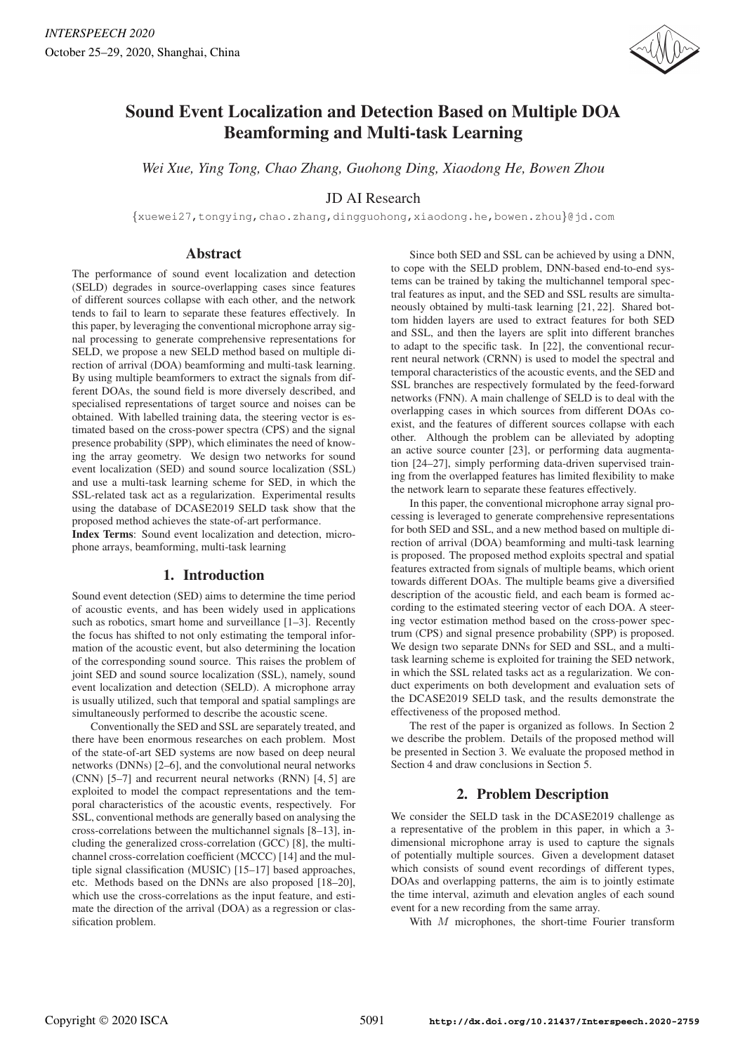

# Sound Event Localization and Detection Based on Multiple DOA Beamforming and Multi-task Learning

*Wei Xue, Ying Tong, Chao Zhang, Guohong Ding, Xiaodong He, Bowen Zhou*

# JD AI Research

{xuewei27,tongying,chao.zhang,dingguohong,xiaodong.he,bowen.zhou}@jd.com

## Abstract

The performance of sound event localization and detection (SELD) degrades in source-overlapping cases since features of different sources collapse with each other, and the network tends to fail to learn to separate these features effectively. In this paper, by leveraging the conventional microphone array signal processing to generate comprehensive representations for SELD, we propose a new SELD method based on multiple direction of arrival (DOA) beamforming and multi-task learning. By using multiple beamformers to extract the signals from different DOAs, the sound field is more diversely described, and specialised representations of target source and noises can be obtained. With labelled training data, the steering vector is estimated based on the cross-power spectra (CPS) and the signal presence probability (SPP), which eliminates the need of knowing the array geometry. We design two networks for sound event localization (SED) and sound source localization (SSL) and use a multi-task learning scheme for SED, in which the SSL-related task act as a regularization. Experimental results using the database of DCASE2019 SELD task show that the proposed method achieves the state-of-art performance.

Index Terms: Sound event localization and detection, microphone arrays, beamforming, multi-task learning

## 1. Introduction

Sound event detection (SED) aims to determine the time period of acoustic events, and has been widely used in applications such as robotics, smart home and surveillance [1-3]. Recently the focus has shifted to not only estimating the temporal information of the acoustic event, but also determining the location of the corresponding sound source. This raises the problem of joint SED and sound source localization (SSL), namely, sound event localization and detection (SELD). A microphone array is usually utilized, such that temporal and spatial samplings are simultaneously performed to describe the acoustic scene.

Conventionally the SED and SSL are separately treated, and there have been enormous researches on each problem. Most of the state-of-art SED systems are now based on deep neural networks (DNNs) [2–6], and the convolutional neural networks (CNN) [5–7] and recurrent neural networks (RNN) [4, 5] are exploited to model the compact representations and the temporal characteristics of the acoustic events, respectively. For SSL, conventional methods are generally based on analysing the cross-correlations between the multichannel signals [8–13], including the generalized cross-correlation (GCC) [8], the multichannel cross-correlation coefficient (MCCC) [14] and the multiple signal classification (MUSIC) [15–17] based approaches, etc. Methods based on the DNNs are also proposed [18–20], which use the cross-correlations as the input feature, and estimate the direction of the arrival (DOA) as a regression or classification problem.

Since both SED and SSL can be achieved by using a DNN, to cope with the SELD problem, DNN-based end-to-end systems can be trained by taking the multichannel temporal spectral features as input, and the SED and SSL results are simultaneously obtained by multi-task learning [21, 22]. Shared bottom hidden layers are used to extract features for both SED and SSL, and then the layers are split into different branches to adapt to the specific task. In [22], the conventional recurrent neural network (CRNN) is used to model the spectral and temporal characteristics of the acoustic events, and the SED and SSL branches are respectively formulated by the feed-forward networks (FNN). A main challenge of SELD is to deal with the overlapping cases in which sources from different DOAs coexist, and the features of different sources collapse with each other. Although the problem can be alleviated by adopting an active source counter [23], or performing data augmentation [24–27], simply performing data-driven supervised training from the overlapped features has limited flexibility to make the network learn to separate these features effectively.

In this paper, the conventional microphone array signal processing is leveraged to generate comprehensive representations for both SED and SSL, and a new method based on multiple direction of arrival (DOA) beamforming and multi-task learning is proposed. The proposed method exploits spectral and spatial features extracted from signals of multiple beams, which orient towards different DOAs. The multiple beams give a diversified description of the acoustic field, and each beam is formed according to the estimated steering vector of each DOA. A steering vector estimation method based on the cross-power spectrum (CPS) and signal presence probability (SPP) is proposed. We design two separate DNNs for SED and SSL, and a multitask learning scheme is exploited for training the SED network, in which the SSL related tasks act as a regularization. We conduct experiments on both development and evaluation sets of the DCASE2019 SELD task, and the results demonstrate the effectiveness of the proposed method.

The rest of the paper is organized as follows. In Section 2 we describe the problem. Details of the proposed method will be presented in Section 3. We evaluate the proposed method in Section 4 and draw conclusions in Section 5.

# 2. Problem Description

We consider the SELD task in the DCASE2019 challenge as a representative of the problem in this paper, in which a 3 dimensional microphone array is used to capture the signals of potentially multiple sources. Given a development dataset which consists of sound event recordings of different types, DOAs and overlapping patterns, the aim is to jointly estimate the time interval, azimuth and elevation angles of each sound event for a new recording from the same array.

With M microphones, the short-time Fourier transform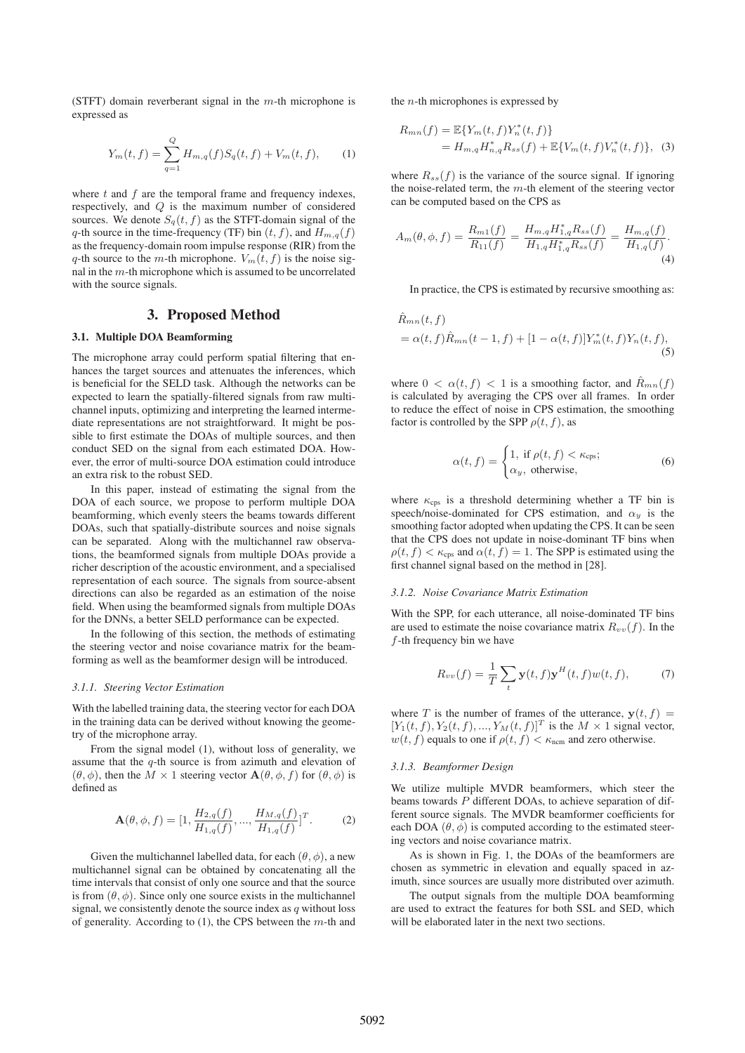(STFT) domain reverberant signal in the  $m$ -th microphone is expressed as

$$
Y_m(t,f) = \sum_{q=1}^{Q} H_{m,q}(f)S_q(t,f) + V_m(t,f), \qquad (1)
$$

where  $t$  and  $f$  are the temporal frame and frequency indexes. respectively, and Q is the maximum number of considered sources. We denote  $S_q(t, f)$  as the STFT-domain signal of the q-th source in the time-frequency (TF) bin  $(t, f)$ , and  $H_{m,q}(f)$ as the frequency-domain room impulse response (RIR) from the q-th source to the m-th microphone.  $V_m(t, f)$  is the noise signal in the m-th microphone which is assumed to be uncorrelated with the source signals.

## 3. Proposed Method

## 3.1. Multiple DOA Beamforming

The microphone array could perform spatial filtering that enhances the target sources and attenuates the inferences, which is beneficial for the SELD task. Although the networks can be expected to learn the spatially-filtered signals from raw multichannel inputs, optimizing and interpreting the learned intermediate representations are not straightforward. It might be possible to first estimate the DOAs of multiple sources, and then conduct SED on the signal from each estimated DOA. However, the error of multi-source DOA estimation could introduce an extra risk to the robust SED.

In this paper, instead of estimating the signal from the DOA of each source, we propose to perform multiple DOA beamforming, which evenly steers the beams towards different DOAs, such that spatially-distribute sources and noise signals can be separated. Along with the multichannel raw observations, the beamformed signals from multiple DOAs provide a richer description of the acoustic environment, and a specialised representation of each source. The signals from source-absent directions can also be regarded as an estimation of the noise field. When using the beamformed signals from multiple DOAs for the DNNs, a better SELD performance can be expected.

In the following of this section, the methods of estimating the steering vector and noise covariance matrix for the beamforming as well as the beamformer design will be introduced.

#### *3.1.1. Steering Vector Estimation*

With the labelled training data, the steering vector for each DOA in the training data can be derived without knowing the geometry of the microphone array.

From the signal model (1), without loss of generality, we assume that the  $q$ -th source is from azimuth and elevation of  $(\theta, \phi)$ , then the  $M \times 1$  steering vector  $\mathbf{A}(\theta, \phi, f)$  for  $(\theta, \phi)$  is defined as

$$
\mathbf{A}(\theta,\phi,f) = [1,\frac{H_{2,q}(f)}{H_{1,q}(f)},\dots,\frac{H_{M,q}(f)}{H_{1,q}(f)}]^T.
$$
 (2)

Given the multichannel labelled data, for each  $(\theta, \phi)$ , a new multichannel signal can be obtained by concatenating all the time intervals that consist of only one source and that the source is from  $(\theta, \phi)$ . Since only one source exists in the multichannel signal, we consistently denote the source index as  $q$  without loss of generality. According to  $(1)$ , the CPS between the  $m$ -th and the  $n$ -th microphones is expressed by

$$
R_{mn}(f) = \mathbb{E}\{Y_m(t,f)Y_n^*(t,f)\}
$$
  
=  $H_{m,q}H_{n,q}^*R_{ss}(f) + \mathbb{E}\{V_m(t,f)V_n^*(t,f)\},$  (3)

where  $R_{ss}(f)$  is the variance of the source signal. If ignoring the noise-related term, the  $m$ -th element of the steering vector can be computed based on the CPS as

$$
A_m(\theta, \phi, f) = \frac{R_{m1}(f)}{R_{11}(f)} = \frac{H_{m,q}H_{1,q}^*R_{ss}(f)}{H_{1,q}H_{1,q}^*R_{ss}(f)} = \frac{H_{m,q}(f)}{H_{1,q}(f)}.
$$
\n(4)

In practice, the CPS is estimated by recursive smoothing as:

$$
\hat{R}_{mn}(t, f) = \alpha(t, f)\hat{R}_{mn}(t - 1, f) + [1 - \alpha(t, f)]Y_m^*(t, f)Y_n(t, f),
$$
\n(5)

where  $0 < \alpha(t, f) < 1$  is a smoothing factor, and  $\ddot{R}_{mn}(f)$ is calculated by averaging the CPS over all frames. In order to reduce the effect of noise in CPS estimation, the smoothing factor is controlled by the SPP  $\rho(t, f)$ , as

$$
\alpha(t, f) = \begin{cases} 1, & \text{if } \rho(t, f) < \kappa_{\text{cps}}; \\ \alpha_y, & \text{otherwise,} \end{cases} \tag{6}
$$

where  $\kappa_{\text{cps}}$  is a threshold determining whether a TF bin is speech/noise-dominated for CPS estimation, and  $\alpha_y$  is the smoothing factor adopted when updating the CPS. It can be seen that the CPS does not update in noise-dominant TF bins when  $\rho(t, f) < \kappa_{\text{cps}}$  and  $\alpha(t, f) = 1$ . The SPP is estimated using the first channel signal based on the method in [28].

## *3.1.2. Noise Covariance Matrix Estimation*

With the SPP, for each utterance, all noise-dominated TF bins are used to estimate the noise covariance matrix  $R_{vv}(f)$ . In the  $f$ -th frequency bin we have

$$
R_{vv}(f) = \frac{1}{T} \sum_{t} \mathbf{y}(t, f) \mathbf{y}^{H}(t, f) w(t, f), \tag{7}
$$

where T is the number of frames of the utterance,  $y(t, f)$  =  $[Y_1(t, f), Y_2(t, f), ..., Y_M(t, f)]^T$  is the  $M \times 1$  signal vector,  $w(t, f)$  equals to one if  $\rho(t, f) < \kappa_{\text{ncm}}$  and zero otherwise.

#### *3.1.3. Beamformer Design*

We utilize multiple MVDR beamformers, which steer the beams towards  $\overrightarrow{P}$  different DOAs, to achieve separation of different source signals. The MVDR beamformer coefficients for each DOA  $(\theta, \phi)$  is computed according to the estimated steering vectors and noise covariance matrix.

As is shown in Fig. 1, the DOAs of the beamformers are chosen as symmetric in elevation and equally spaced in azimuth, since sources are usually more distributed over azimuth.

The output signals from the multiple DOA beamforming are used to extract the features for both SSL and SED, which will be elaborated later in the next two sections.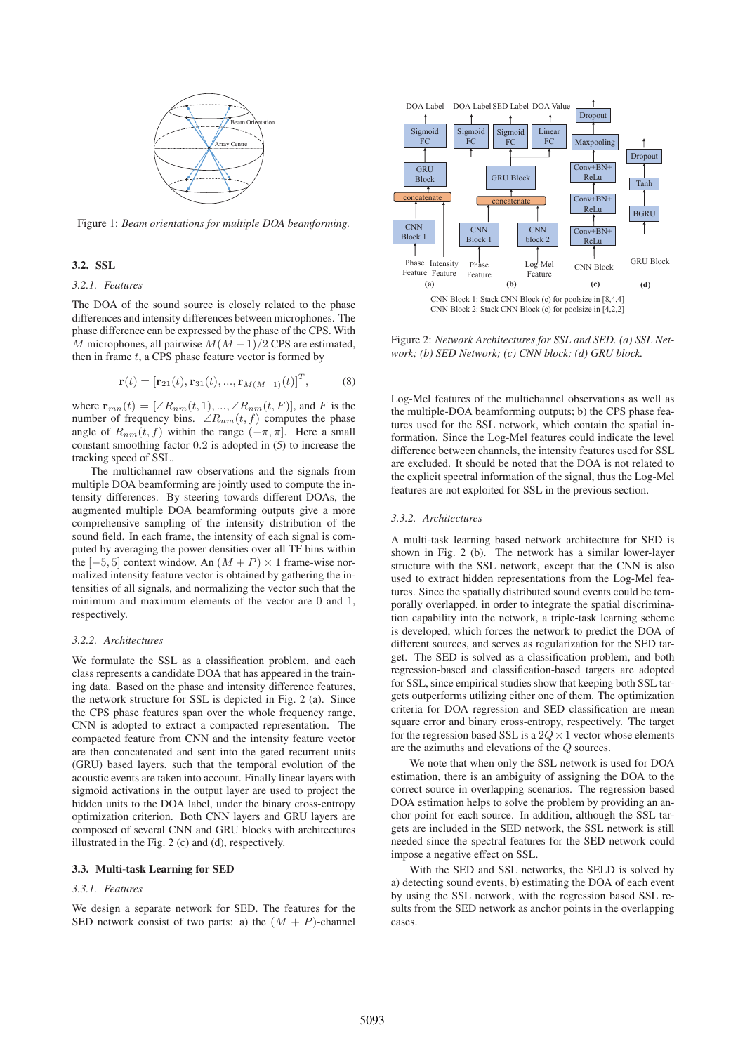

Figure 1: *Beam orientations for multiple DOA beamforming.*

### 3.2. SSL

## *3.2.1. Features*

The DOA of the sound source is closely related to the phase differences and intensity differences between microphones. The phase difference can be expressed by the phase of the CPS. With M microphones, all pairwise  $M(M-1)/2$  CPS are estimated, then in frame  $t$ , a CPS phase feature vector is formed by

$$
\mathbf{r}(t) = [\mathbf{r}_{21}(t), \mathbf{r}_{31}(t), ..., \mathbf{r}_{M(M-1)}(t)]^T, \tag{8}
$$

where  $\mathbf{r}_{mn}(t)=[\angle R_{nm}(t, 1), ..., \angle R_{nm}(t, F)]$ , and F is the number of frequency bins.  $\angle R_{nm}(t, f)$  computes the phase angle of  $R_{nm}(t, f)$  within the range  $(-\pi, \pi]$ . Here a small constant smoothing factor 0.2 is adopted in (5) to increase the tracking speed of SSL.

The multichannel raw observations and the signals from multiple DOA beamforming are jointly used to compute the intensity differences. By steering towards different DOAs, the augmented multiple DOA beamforming outputs give a more comprehensive sampling of the intensity distribution of the sound field. In each frame, the intensity of each signal is computed by averaging the power densities over all TF bins within the  $[-5, 5]$  context window. An  $(M + P) \times 1$  frame-wise normalized intensity feature vector is obtained by gathering the intensities of all signals, and normalizing the vector such that the minimum and maximum elements of the vector are 0 and 1, respectively.

## *3.2.2. Architectures*

We formulate the SSL as a classification problem, and each class represents a candidate DOA that has appeared in the training data. Based on the phase and intensity difference features, the network structure for SSL is depicted in Fig. 2 (a). Since the CPS phase features span over the whole frequency range, CNN is adopted to extract a compacted representation. The compacted feature from CNN and the intensity feature vector are then concatenated and sent into the gated recurrent units (GRU) based layers, such that the temporal evolution of the acoustic events are taken into account. Finally linear layers with sigmoid activations in the output layer are used to project the hidden units to the DOA label, under the binary cross-entropy optimization criterion. Both CNN layers and GRU layers are composed of several CNN and GRU blocks with architectures illustrated in the Fig. 2 (c) and (d), respectively.

## 3.3. Multi-task Learning for SED

#### *3.3.1. Features*

We design a separate network for SED. The features for the SED network consist of two parts: a) the  $(M + P)$ -channel



Figure 2: *Network Architectures for SSL and SED. (a) SSL Network; (b) SED Network; (c) CNN block; (d) GRU block.*

Log-Mel features of the multichannel observations as well as the multiple-DOA beamforming outputs; b) the CPS phase features used for the SSL network, which contain the spatial information. Since the Log-Mel features could indicate the level difference between channels, the intensity features used for SSL are excluded. It should be noted that the DOA is not related to the explicit spectral information of the signal, thus the Log-Mel features are not exploited for SSL in the previous section.

### *3.3.2. Architectures*

A multi-task learning based network architecture for SED is shown in Fig. 2 (b). The network has a similar lower-layer structure with the SSL network, except that the CNN is also used to extract hidden representations from the Log-Mel features. Since the spatially distributed sound events could be temporally overlapped, in order to integrate the spatial discrimination capability into the network, a triple-task learning scheme is developed, which forces the network to predict the DOA of different sources, and serves as regularization for the SED target. The SED is solved as a classification problem, and both regression-based and classification-based targets are adopted for SSL, since empirical studies show that keeping both SSL targets outperforms utilizing either one of them. The optimization criteria for DOA regression and SED classification are mean square error and binary cross-entropy, respectively. The target for the regression based SSL is a  $2Q \times 1$  vector whose elements are the azimuths and elevations of the Q sources.

We note that when only the SSL network is used for DOA estimation, there is an ambiguity of assigning the DOA to the correct source in overlapping scenarios. The regression based DOA estimation helps to solve the problem by providing an anchor point for each source. In addition, although the SSL targets are included in the SED network, the SSL network is still needed since the spectral features for the SED network could impose a negative effect on SSL.

With the SED and SSL networks, the SELD is solved by a) detecting sound events, b) estimating the DOA of each event by using the SSL network, with the regression based SSL results from the SED network as anchor points in the overlapping cases.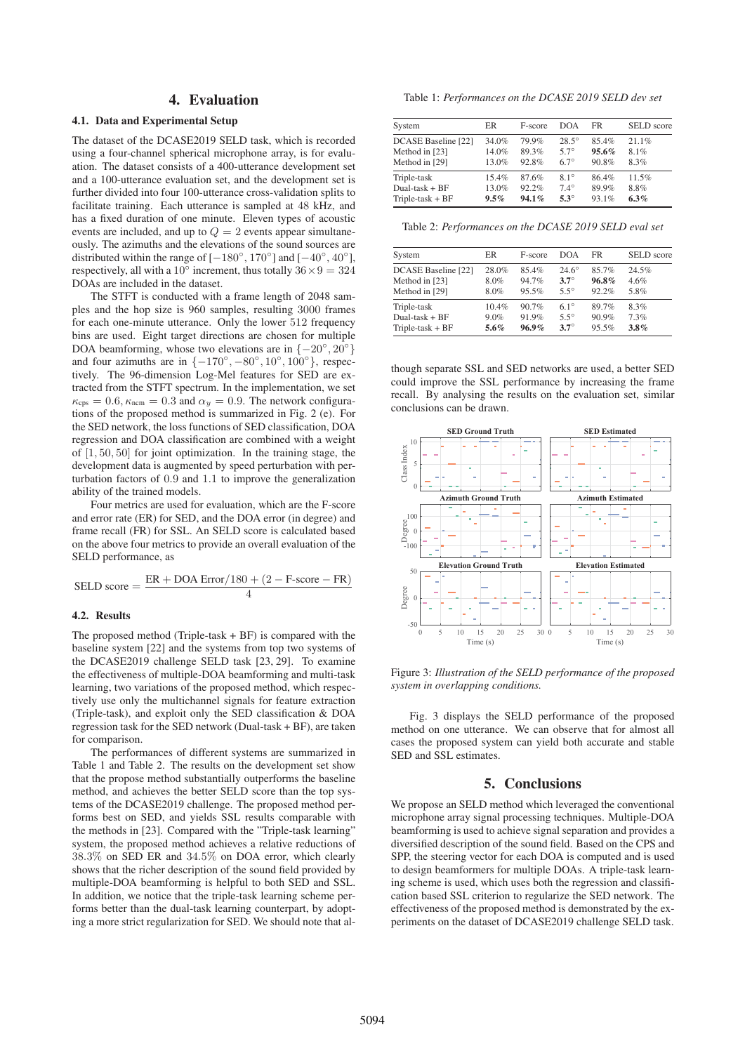# 4. Evaluation

## 4.1. Data and Experimental Setup

The dataset of the DCASE2019 SELD task, which is recorded using a four-channel spherical microphone array, is for evaluation. The dataset consists of a 400-utterance development set and a 100-utterance evaluation set, and the development set is further divided into four 100-utterance cross-validation splits to facilitate training. Each utterance is sampled at 48 kHz, and has a fixed duration of one minute. Eleven types of acoustic events are included, and up to  $Q = 2$  events appear simultaneously. The azimuths and the elevations of the sound sources are distributed within the range of  $[-180^\circ, 170^\circ]$  and  $[-40^\circ, 40^\circ]$ , respectively, all with a 10 $\degree$  increment, thus totally  $36 \times 9 = 324$ DOAs are included in the dataset.

The STFT is conducted with a frame length of 2048 samples and the hop size is 960 samples, resulting 3000 frames for each one-minute utterance. Only the lower 512 frequency bins are used. Eight target directions are chosen for multiple DOA beamforming, whose two elevations are in  $\{-20^\circ, 20^\circ\}$ and four azimuths are in  $\{-170^\circ, -80^\circ, 10^\circ, 100^\circ\}$ , respectively. The 96-dimension Log-Mel features for SED are extracted from the STFT spectrum. In the implementation, we set  $\kappa_{\rm cps} = 0.6$ ,  $\kappa_{\rm ncm} = 0.3$  and  $\alpha_y = 0.9$ . The network configurations of the proposed method is summarized in Fig. 2 (e). For the SED network, the loss functions of SED classification, DOA regression and DOA classification are combined with a weight of [1, 50, 50] for joint optimization. In the training stage, the development data is augmented by speed perturbation with perturbation factors of 0.9 and 1.1 to improve the generalization ability of the trained models.

Four metrics are used for evaluation, which are the F-score and error rate (ER) for SED, and the DOA error (in degree) and frame recall (FR) for SSL. An SELD score is calculated based on the above four metrics to provide an overall evaluation of the SELD performance, as

$$
SELD score = \frac{ER + DOA Error/180 + (2 - F-score - FR)}{4}
$$

### 4.2. Results

The proposed method (Triple-task  $+BF$ ) is compared with the baseline system [22] and the systems from top two systems of the DCASE2019 challenge SELD task [23, 29]. To examine the effectiveness of multiple-DOA beamforming and multi-task learning, two variations of the proposed method, which respectively use only the multichannel signals for feature extraction (Triple-task), and exploit only the SED classification & DOA regression task for the SED network (Dual-task + BF), are taken for comparison.

The performances of different systems are summarized in Table 1 and Table 2. The results on the development set show that the propose method substantially outperforms the baseline method, and achieves the better SELD score than the top systems of the DCASE2019 challenge. The proposed method performs best on SED, and yields SSL results comparable with the methods in [23]. Compared with the "Triple-task learning" system, the proposed method achieves a relative reductions of 38.3% on SED ER and 34.5% on DOA error, which clearly shows that the richer description of the sound field provided by multiple-DOA beamforming is helpful to both SED and SSL. In addition, we notice that the triple-task learning scheme performs better than the dual-task learning counterpart, by adopting a more strict regularization for SED. We should note that al-

Table 1: *Performances on the DCASE 2019 SELD dev set*

| System                     | ER       | F-score | DOA          | FR    | <b>SELD</b> score |
|----------------------------|----------|---------|--------------|-------|-------------------|
| <b>DCASE Baseline [22]</b> | 34.0%    | 79.9%   | $28.5^\circ$ | 85.4% | 21.1%             |
| Method in [23]             | 14.0%    | 89.3%   | $57^\circ$   | 95.6% | 8.1%              |
| Method in [29]             | 13.0%    | 92.8%   | $67^\circ$   | 90.8% | 8.3%              |
| Triple-task                | $15.4\%$ | 87.6%   | $8.1^\circ$  | 86.4% | 11.5%             |
| $Dual-task + BF$           | 13.0%    | 92.2%   | $7.4^\circ$  | 89.9% | 8.8%              |
| Triple-task $+BF$          | 9.5%     | 94.1%   | $5.3^\circ$  | 93.1% | 6.3%              |

Table 2: *Performances on the DCASE 2019 SELD eval set*

| System              | ER       | F-score  | DOA          | FR    | <b>SELD</b> score |
|---------------------|----------|----------|--------------|-------|-------------------|
| DCASE Baseline [22] | 28.0%    | 85.4%    | $24.6^\circ$ | 85.7% | 24.5%             |
| Method in [23]      | 8.0%     | 94.7%    | $3.7^\circ$  | 96.8% | 4.6%              |
| Method in [29]      | 8.0%     | 95.5%    | $55^{\circ}$ | 92.2% | 5.8%              |
| Triple-task         | $10.4\%$ | 90.7%    | $6.1^\circ$  | 89.7% | 8.3%              |
| Dual-task $+BF$     | $9.0\%$  | 91.9%    | $55^{\circ}$ | 90.9% | 7.3%              |
| Triple-task $+BF$   | 5.6%     | $96.9\%$ | $3.7^\circ$  | 95.5% | $3.8\%$           |

though separate SSL and SED networks are used, a better SED could improve the SSL performance by increasing the frame recall. By analysing the results on the evaluation set, similar conclusions can be drawn.



Figure 3: *Illustration of the SELD performance of the proposed system in overlapping conditions.*

Fig. 3 displays the SELD performance of the proposed method on one utterance. We can observe that for almost all cases the proposed system can yield both accurate and stable SED and SSL estimates.

## 5. Conclusions

We propose an SELD method which leveraged the conventional microphone array signal processing techniques. Multiple-DOA beamforming is used to achieve signal separation and provides a diversified description of the sound field. Based on the CPS and SPP, the steering vector for each DOA is computed and is used to design beamformers for multiple DOAs. A triple-task learning scheme is used, which uses both the regression and classification based SSL criterion to regularize the SED network. The effectiveness of the proposed method is demonstrated by the experiments on the dataset of DCASE2019 challenge SELD task.